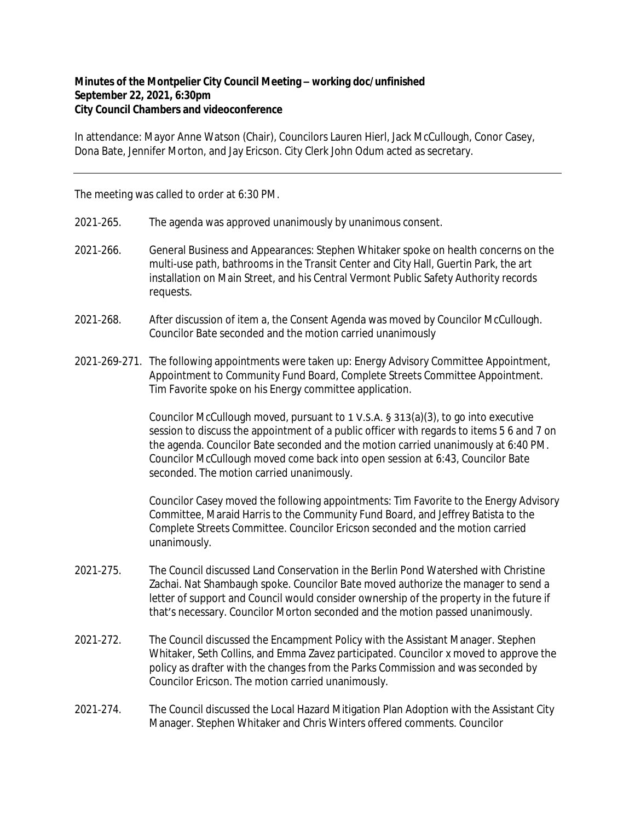## **Minutes of the Montpelier City Council Meeting – working doc/unfinished September 22, 2021, 6:30pm City Council Chambers and videoconference**

In attendance: Mayor Anne Watson (Chair), Councilors Lauren Hierl, Jack McCullough, Conor Casey, Dona Bate, Jennifer Morton, and Jay Ericson. City Clerk John Odum acted as secretary.

The meeting was called to order at 6:30 PM.

- 2021‐265. The agenda was approved unanimously by unanimous consent.
- 2021‐266. General Business and Appearances: Stephen Whitaker spoke on health concerns on the multi-use path, bathrooms in the Transit Center and City Hall, Guertin Park, the art installation on Main Street, and his Central Vermont Public Safety Authority records requests.
- 2021‐268. After discussion of item a, the Consent Agenda was moved by Councilor McCullough. Councilor Bate seconded and the motion carried unanimously
- 2021‐269-271. The following appointments were taken up: Energy Advisory Committee Appointment, Appointment to Community Fund Board, Complete Streets Committee Appointment. Tim Favorite spoke on his Energy committee application.

Councilor McCullough moved, pursuant to 1 V.S.A. § 313(a)(3), to go into executive session to discuss the appointment of a public officer with regards to items 5 6 and 7 on the agenda. Councilor Bate seconded and the motion carried unanimously at 6:40 PM. Councilor McCullough moved come back into open session at 6:43, Councilor Bate seconded. The motion carried unanimously.

Councilor Casey moved the following appointments: Tim Favorite to the Energy Advisory Committee, Maraid Harris to the Community Fund Board, and Jeffrey Batista to the Complete Streets Committee. Councilor Ericson seconded and the motion carried unanimously.

- 2021‐275. The Council discussed Land Conservation in the Berlin Pond Watershed with Christine Zachai. Nat Shambaugh spoke. Councilor Bate moved authorize the manager to send a letter of support and Council would consider ownership of the property in the future if that's necessary. Councilor Morton seconded and the motion passed unanimously.
- 2021‐272. The Council discussed the Encampment Policy with the Assistant Manager. Stephen Whitaker, Seth Collins, and Emma Zavez participated. Councilor x moved to approve the policy as drafter with the changes from the Parks Commission and was seconded by Councilor Ericson. The motion carried unanimously.
- 2021-274. The Council discussed the Local Hazard Mitigation Plan Adoption with the Assistant City Manager. Stephen Whitaker and Chris Winters offered comments. Councilor